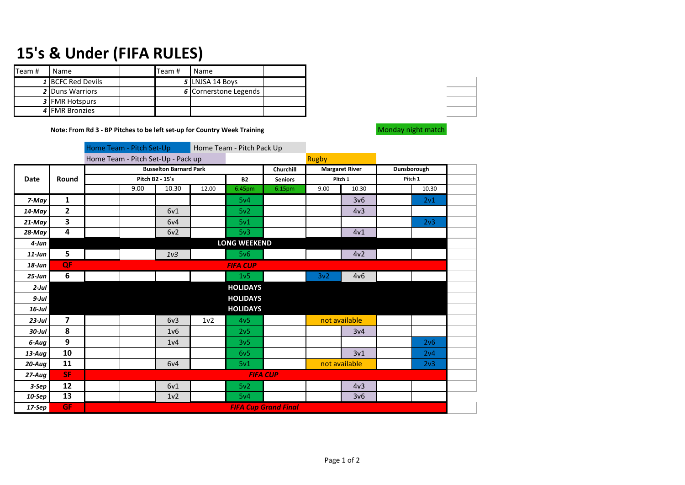## **15's & Under (FIFA RULES)**

| Team # | <b>Name</b>            | Team # | Name                  |  |
|--------|------------------------|--------|-----------------------|--|
|        | 1 BCFC Red Devils      |        | 5 LNJSA 14 Boys       |  |
|        | <b>2 Duns Warriors</b> |        | 6 Cornerstone Legends |  |
|        | 3 FMR Hotspurs         |        |                       |  |
|        | 4 FMR Bronzies         |        |                       |  |

**Note: From Rd 3 - BP Pitches to be left set-up for Country Week Training Monday Monday night match** 

|             |                         |                               | Home Team - Pitch Set-Up           |                  |                  | Home Team - Pitch Pack Up |                             |               |                       |             |                 |  |
|-------------|-------------------------|-------------------------------|------------------------------------|------------------|------------------|---------------------------|-----------------------------|---------------|-----------------------|-------------|-----------------|--|
|             |                         |                               | Home Team - Pitch Set-Up - Pack up |                  |                  |                           |                             |               |                       |             |                 |  |
|             |                         | <b>Busselton Barnard Park</b> |                                    |                  |                  |                           | Churchill                   |               | <b>Margaret River</b> | Dunsborough |                 |  |
| <b>Date</b> | Round                   | Pitch B2 - 15's               |                                    |                  | <b>B2</b>        | <b>Seniors</b>            |                             | Pitch 1       | Pitch 1               |             |                 |  |
|             |                         |                               | 9.00                               | 10.30            | 12.00            | 6.45pm                    | 6.15pm                      | 9.00          | 10.30                 |             | 10.30           |  |
| 7-May       | 1                       |                               |                                    |                  |                  | 5v4                       |                             |               | 3v6                   |             | 2v1             |  |
| $14$ -May   | $\overline{2}$          |                               |                                    | 6v1              |                  | 5v <sub>2</sub>           |                             |               | 4v <sub>3</sub>       |             |                 |  |
| 21-May      | $\overline{\mathbf{3}}$ |                               |                                    | 6v4              |                  | 5v1                       |                             |               |                       |             | 2 <sub>v3</sub> |  |
| 28-May      | 4                       |                               |                                    | 6v2              |                  | 5v3                       |                             |               | 4v1                   |             |                 |  |
| $4$ -Jun    |                         | <b>LONG WEEKEND</b>           |                                    |                  |                  |                           |                             |               |                       |             |                 |  |
| $11$ -Jun   | 5                       |                               |                                    | 1 <sub>v3</sub>  |                  | 5v6                       |                             |               | 4v2                   |             |                 |  |
| $18 - Jun$  | QF                      | <b>FIFA CUP</b>               |                                    |                  |                  |                           |                             |               |                       |             |                 |  |
| $25 - Jun$  | 6                       |                               |                                    |                  |                  | 1 <sub>v</sub> 5          |                             | 3v2           | 4v6                   |             |                 |  |
| $2$ -Jul    |                         |                               |                                    |                  |                  | <b>HOLIDAYS</b>           |                             |               |                       |             |                 |  |
| $9$ -Jul    |                         |                               |                                    |                  |                  | <b>HOLIDAYS</b>           |                             |               |                       |             |                 |  |
| $16$ -Jul   |                         |                               |                                    |                  |                  | <b>HOLIDAYS</b>           |                             |               |                       |             |                 |  |
| $23$ -Jul   | 7                       |                               |                                    | 6v3              | 1 <sub>v</sub> 2 | 4v <sub>5</sub>           |                             | not available |                       |             |                 |  |
| $30$ -Jul   | 8                       |                               |                                    | 1 <sub>v</sub> 6 |                  | 2v5                       |                             |               | 3v4                   |             |                 |  |
| 6-Aug       | 9                       |                               |                                    | 1 <sub>v</sub> 4 |                  | 3v <sub>5</sub>           |                             |               |                       |             | 2v6             |  |
| $13$ -Aug   | 10                      |                               |                                    |                  |                  | 6v <sub>5</sub>           |                             |               | 3v1                   |             | 2v4             |  |
| $20-Auq$    | 11                      |                               |                                    | 6v4              |                  | 5v1                       |                             | not available |                       |             | 2v3             |  |
| $27-Auq$    | <b>SF</b>               |                               |                                    |                  |                  | <b>FIFA CUP</b>           |                             |               |                       |             |                 |  |
| 3-Sep       | 12                      |                               |                                    | 6v1              |                  | 5v <sub>2</sub>           |                             |               | 4v <sub>3</sub>       |             |                 |  |
| 10-Sep      | 13                      |                               |                                    | 1 <sub>v</sub> 2 |                  | 5v4                       |                             |               | 3v6                   |             |                 |  |
| 17-Sep      | <b>GF</b>               |                               |                                    |                  |                  |                           | <b>FIFA Cup Grand Final</b> |               |                       |             |                 |  |